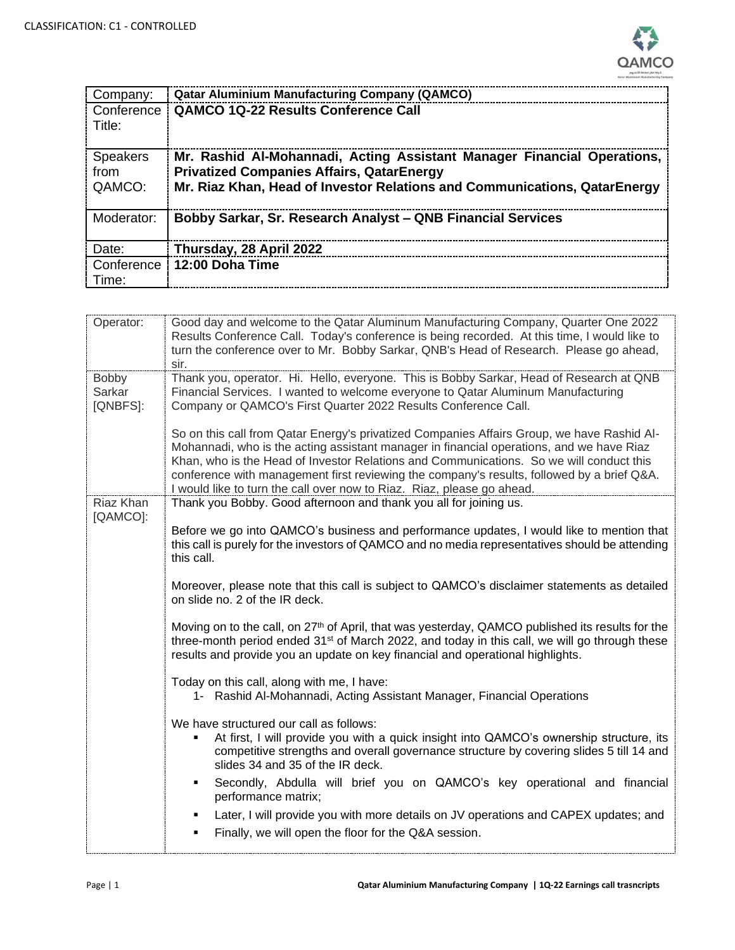

| Company:                          | <b>Qatar Aluminium Manufacturing Company (QAMCO)</b>                                                                                                                                                     |
|-----------------------------------|----------------------------------------------------------------------------------------------------------------------------------------------------------------------------------------------------------|
| Conference<br>Title:              | <b>QAMCO 1Q-22 Results Conference Call</b>                                                                                                                                                               |
| <b>Speakers</b><br>from<br>QAMCO: | Mr. Rashid Al-Mohannadi, Acting Assistant Manager Financial Operations,<br><b>Privatized Companies Affairs, QatarEnergy</b><br>Mr. Riaz Khan, Head of Investor Relations and Communications, QatarEnergy |
| Moderator:                        | Bobby Sarkar, Sr. Research Analyst - QNB Financial Services                                                                                                                                              |
| Date:                             | Thursday, 28 April 2022                                                                                                                                                                                  |
| Conference<br>Time:               | 12:00 Doha Time                                                                                                                                                                                          |

| Operator:                   | Good day and welcome to the Qatar Aluminum Manufacturing Company, Quarter One 2022<br>Results Conference Call. Today's conference is being recorded. At this time, I would like to<br>turn the conference over to Mr. Bobby Sarkar, QNB's Head of Research. Please go ahead,<br>sir.                                                                                                                                                                      |
|-----------------------------|-----------------------------------------------------------------------------------------------------------------------------------------------------------------------------------------------------------------------------------------------------------------------------------------------------------------------------------------------------------------------------------------------------------------------------------------------------------|
| Bobby<br>Sarkar<br>[QNBFS]: | Thank you, operator. Hi. Hello, everyone. This is Bobby Sarkar, Head of Research at QNB<br>Financial Services. I wanted to welcome everyone to Qatar Aluminum Manufacturing<br>Company or QAMCO's First Quarter 2022 Results Conference Call.                                                                                                                                                                                                             |
|                             | So on this call from Qatar Energy's privatized Companies Affairs Group, we have Rashid Al-<br>Mohannadi, who is the acting assistant manager in financial operations, and we have Riaz<br>Khan, who is the Head of Investor Relations and Communications. So we will conduct this<br>conference with management first reviewing the company's results, followed by a brief Q&A.<br>I would like to turn the call over now to Riaz. Riaz, please go ahead. |
| Riaz Khan                   | Thank you Bobby. Good afternoon and thank you all for joining us.                                                                                                                                                                                                                                                                                                                                                                                         |
| [QAMCO]:                    | Before we go into QAMCO's business and performance updates, I would like to mention that<br>this call is purely for the investors of QAMCO and no media representatives should be attending<br>this call.                                                                                                                                                                                                                                                 |
|                             | Moreover, please note that this call is subject to QAMCO's disclaimer statements as detailed<br>on slide no. 2 of the IR deck.                                                                                                                                                                                                                                                                                                                            |
|                             | Moving on to the call, on 27 <sup>th</sup> of April, that was yesterday, QAMCO published its results for the<br>three-month period ended 31 <sup>st</sup> of March 2022, and today in this call, we will go through these<br>results and provide you an update on key financial and operational highlights.                                                                                                                                               |
|                             | Today on this call, along with me, I have:<br>1- Rashid Al-Mohannadi, Acting Assistant Manager, Financial Operations                                                                                                                                                                                                                                                                                                                                      |
|                             | We have structured our call as follows:<br>At first, I will provide you with a quick insight into QAMCO's ownership structure, its<br>competitive strengths and overall governance structure by covering slides 5 till 14 and<br>slides 34 and 35 of the IR deck.                                                                                                                                                                                         |
|                             | Secondly, Abdulla will brief you on QAMCO's key operational and financial<br>performance matrix;<br>Later, I will provide you with more details on JV operations and CAPEX updates; and                                                                                                                                                                                                                                                                   |
|                             | Finally, we will open the floor for the Q&A session.<br>٠                                                                                                                                                                                                                                                                                                                                                                                                 |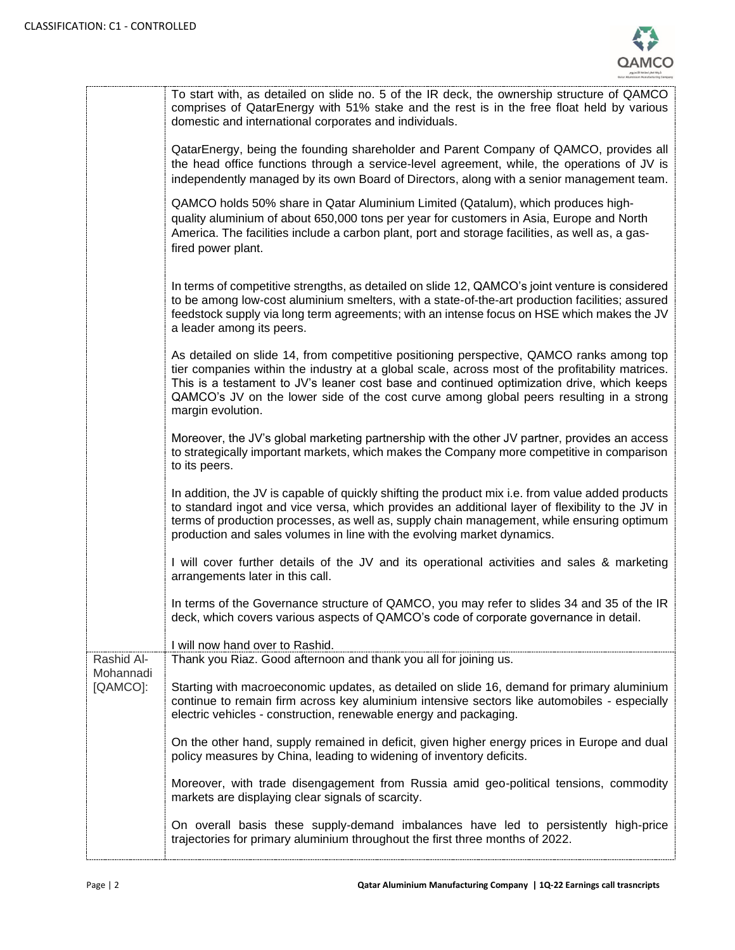

|                         | To start with, as detailed on slide no. 5 of the IR deck, the ownership structure of QAMCO<br>comprises of QatarEnergy with 51% stake and the rest is in the free float held by various<br>domestic and international corporates and individuals.                                                                                                                                                          |
|-------------------------|------------------------------------------------------------------------------------------------------------------------------------------------------------------------------------------------------------------------------------------------------------------------------------------------------------------------------------------------------------------------------------------------------------|
|                         | QatarEnergy, being the founding shareholder and Parent Company of QAMCO, provides all<br>the head office functions through a service-level agreement, while, the operations of JV is<br>independently managed by its own Board of Directors, along with a senior management team.                                                                                                                          |
|                         | QAMCO holds 50% share in Qatar Aluminium Limited (Qatalum), which produces high-<br>quality aluminium of about 650,000 tons per year for customers in Asia, Europe and North<br>America. The facilities include a carbon plant, port and storage facilities, as well as, a gas-<br>fired power plant.                                                                                                      |
|                         | In terms of competitive strengths, as detailed on slide 12, QAMCO's joint venture is considered<br>to be among low-cost aluminium smelters, with a state-of-the-art production facilities; assured<br>feedstock supply via long term agreements; with an intense focus on HSE which makes the JV<br>a leader among its peers.                                                                              |
|                         | As detailed on slide 14, from competitive positioning perspective, QAMCO ranks among top<br>tier companies within the industry at a global scale, across most of the profitability matrices.<br>This is a testament to JV's leaner cost base and continued optimization drive, which keeps<br>QAMCO's JV on the lower side of the cost curve among global peers resulting in a strong<br>margin evolution. |
|                         | Moreover, the JV's global marketing partnership with the other JV partner, provides an access<br>to strategically important markets, which makes the Company more competitive in comparison<br>to its peers.                                                                                                                                                                                               |
|                         | In addition, the JV is capable of quickly shifting the product mix i.e. from value added products<br>to standard ingot and vice versa, which provides an additional layer of flexibility to the JV in<br>terms of production processes, as well as, supply chain management, while ensuring optimum<br>production and sales volumes in line with the evolving market dynamics.                             |
|                         | I will cover further details of the JV and its operational activities and sales & marketing<br>arrangements later in this call.                                                                                                                                                                                                                                                                            |
|                         | In terms of the Governance structure of QAMCO, you may refer to slides 34 and 35 of the IR<br>deck, which covers various aspects of QAMCO's code of corporate governance in detail.                                                                                                                                                                                                                        |
|                         | I will now hand over to Rashid.                                                                                                                                                                                                                                                                                                                                                                            |
| Rashid Al-<br>Mohannadi | Thank you Riaz. Good afternoon and thank you all for joining us.                                                                                                                                                                                                                                                                                                                                           |
| [QAMCO]:                | Starting with macroeconomic updates, as detailed on slide 16, demand for primary aluminium<br>continue to remain firm across key aluminium intensive sectors like automobiles - especially<br>electric vehicles - construction, renewable energy and packaging.                                                                                                                                            |
|                         | On the other hand, supply remained in deficit, given higher energy prices in Europe and dual<br>policy measures by China, leading to widening of inventory deficits.                                                                                                                                                                                                                                       |
|                         | Moreover, with trade disengagement from Russia amid geo-political tensions, commodity<br>markets are displaying clear signals of scarcity.                                                                                                                                                                                                                                                                 |
|                         | On overall basis these supply-demand imbalances have led to persistently high-price<br>trajectories for primary aluminium throughout the first three months of 2022.                                                                                                                                                                                                                                       |
|                         |                                                                                                                                                                                                                                                                                                                                                                                                            |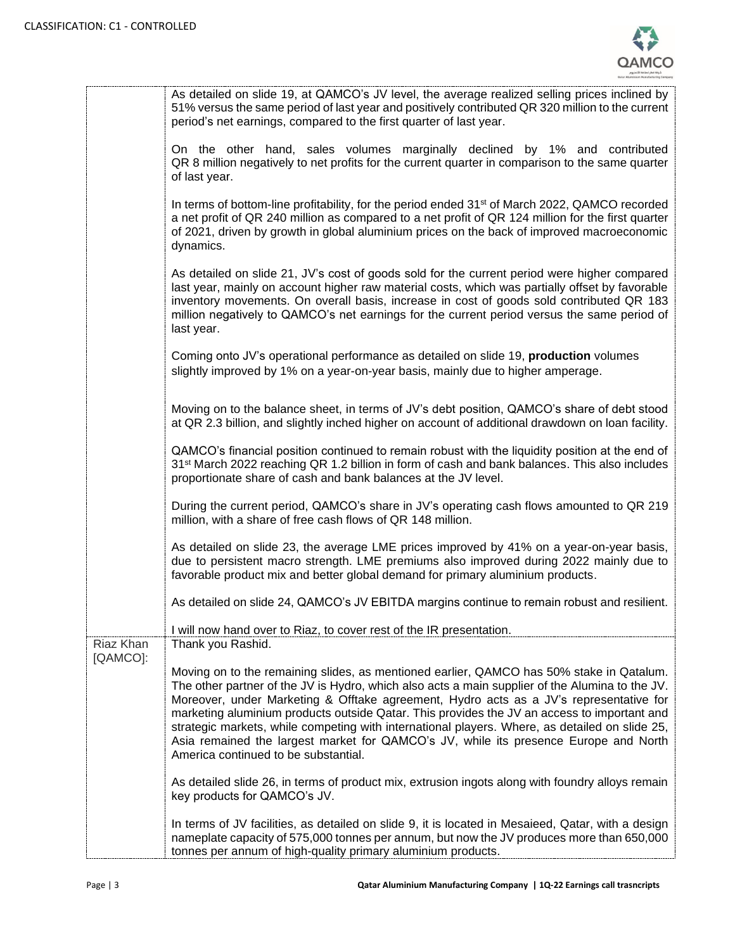

|           | As detailed on slide 19, at QAMCO's JV level, the average realized selling prices inclined by<br>51% versus the same period of last year and positively contributed QR 320 million to the current<br>period's net earnings, compared to the first quarter of last year.                                                                                                                                                                                                                                                                                                                                                |
|-----------|------------------------------------------------------------------------------------------------------------------------------------------------------------------------------------------------------------------------------------------------------------------------------------------------------------------------------------------------------------------------------------------------------------------------------------------------------------------------------------------------------------------------------------------------------------------------------------------------------------------------|
|           | On the other hand, sales volumes marginally declined by 1% and contributed<br>QR 8 million negatively to net profits for the current quarter in comparison to the same quarter<br>of last year.                                                                                                                                                                                                                                                                                                                                                                                                                        |
|           | In terms of bottom-line profitability, for the period ended 31 <sup>st</sup> of March 2022, QAMCO recorded<br>a net profit of QR 240 million as compared to a net profit of QR 124 million for the first quarter<br>of 2021, driven by growth in global aluminium prices on the back of improved macroeconomic<br>dynamics.                                                                                                                                                                                                                                                                                            |
|           | As detailed on slide 21, JV's cost of goods sold for the current period were higher compared<br>last year, mainly on account higher raw material costs, which was partially offset by favorable<br>inventory movements. On overall basis, increase in cost of goods sold contributed QR 183<br>million negatively to QAMCO's net earnings for the current period versus the same period of<br>last year.                                                                                                                                                                                                               |
|           | Coming onto JV's operational performance as detailed on slide 19, production volumes<br>slightly improved by 1% on a year-on-year basis, mainly due to higher amperage.                                                                                                                                                                                                                                                                                                                                                                                                                                                |
|           | Moving on to the balance sheet, in terms of JV's debt position, QAMCO's share of debt stood<br>at QR 2.3 billion, and slightly inched higher on account of additional drawdown on loan facility.                                                                                                                                                                                                                                                                                                                                                                                                                       |
|           | QAMCO's financial position continued to remain robust with the liquidity position at the end of<br>31 <sup>st</sup> March 2022 reaching QR 1.2 billion in form of cash and bank balances. This also includes<br>proportionate share of cash and bank balances at the JV level.                                                                                                                                                                                                                                                                                                                                         |
|           | During the current period, QAMCO's share in JV's operating cash flows amounted to QR 219<br>million, with a share of free cash flows of QR 148 million.                                                                                                                                                                                                                                                                                                                                                                                                                                                                |
|           | As detailed on slide 23, the average LME prices improved by 41% on a year-on-year basis,<br>due to persistent macro strength. LME premiums also improved during 2022 mainly due to<br>favorable product mix and better global demand for primary aluminium products.                                                                                                                                                                                                                                                                                                                                                   |
|           | As detailed on slide 24, QAMCO's JV EBITDA margins continue to remain robust and resilient.                                                                                                                                                                                                                                                                                                                                                                                                                                                                                                                            |
| Riaz Khan | I will now hand over to Riaz, to cover rest of the IR presentation.<br>Thank you Rashid.                                                                                                                                                                                                                                                                                                                                                                                                                                                                                                                               |
| [QAMCO]:  |                                                                                                                                                                                                                                                                                                                                                                                                                                                                                                                                                                                                                        |
|           | Moving on to the remaining slides, as mentioned earlier, QAMCO has 50% stake in Qatalum.<br>The other partner of the JV is Hydro, which also acts a main supplier of the Alumina to the JV.<br>Moreover, under Marketing & Offtake agreement, Hydro acts as a JV's representative for<br>marketing aluminium products outside Qatar. This provides the JV an access to important and<br>strategic markets, while competing with international players. Where, as detailed on slide 25,<br>Asia remained the largest market for QAMCO's JV, while its presence Europe and North<br>America continued to be substantial. |
|           | As detailed slide 26, in terms of product mix, extrusion ingots along with foundry alloys remain<br>key products for QAMCO's JV.                                                                                                                                                                                                                                                                                                                                                                                                                                                                                       |
|           | In terms of JV facilities, as detailed on slide 9, it is located in Mesaieed, Qatar, with a design<br>nameplate capacity of 575,000 tonnes per annum, but now the JV produces more than 650,000<br>tonnes per annum of high-quality primary aluminium products.                                                                                                                                                                                                                                                                                                                                                        |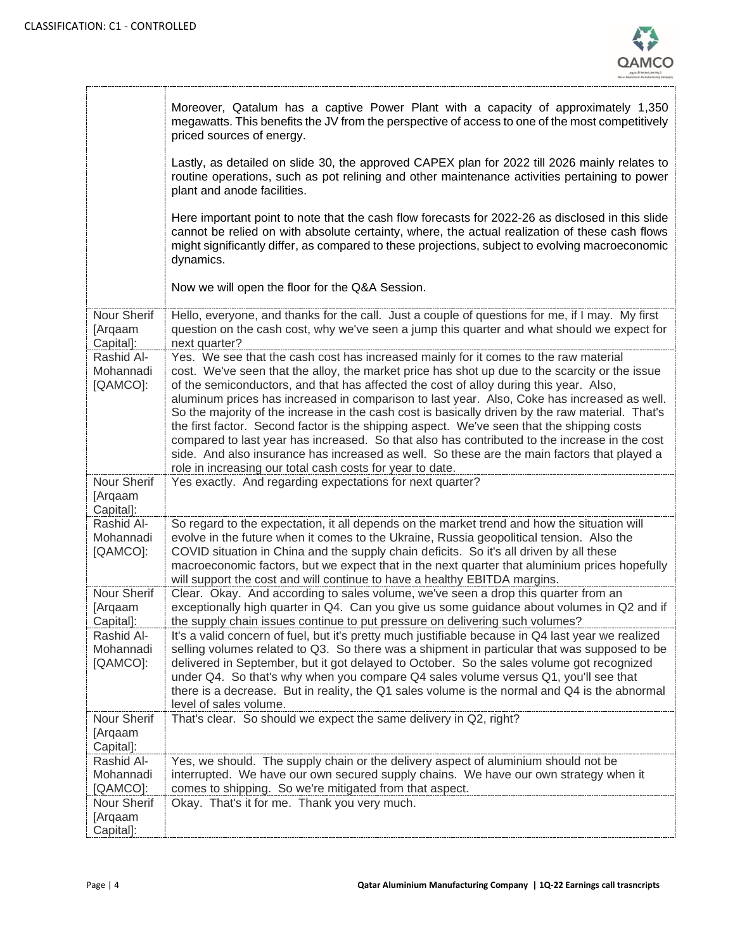

|                                     | Moreover, Qatalum has a captive Power Plant with a capacity of approximately 1,350<br>megawatts. This benefits the JV from the perspective of access to one of the most competitively<br>priced sources of energy.                                                                                                                                                                                                                                                                                                                                                                                                                                                                                                                                                                                                                             |
|-------------------------------------|------------------------------------------------------------------------------------------------------------------------------------------------------------------------------------------------------------------------------------------------------------------------------------------------------------------------------------------------------------------------------------------------------------------------------------------------------------------------------------------------------------------------------------------------------------------------------------------------------------------------------------------------------------------------------------------------------------------------------------------------------------------------------------------------------------------------------------------------|
|                                     | Lastly, as detailed on slide 30, the approved CAPEX plan for 2022 till 2026 mainly relates to<br>routine operations, such as pot relining and other maintenance activities pertaining to power<br>plant and anode facilities.                                                                                                                                                                                                                                                                                                                                                                                                                                                                                                                                                                                                                  |
|                                     | Here important point to note that the cash flow forecasts for 2022-26 as disclosed in this slide<br>cannot be relied on with absolute certainty, where, the actual realization of these cash flows<br>might significantly differ, as compared to these projections, subject to evolving macroeconomic<br>dynamics.                                                                                                                                                                                                                                                                                                                                                                                                                                                                                                                             |
|                                     | Now we will open the floor for the Q&A Session.                                                                                                                                                                                                                                                                                                                                                                                                                                                                                                                                                                                                                                                                                                                                                                                                |
| Nour Sherif<br>[Arqaam<br>Capital]: | Hello, everyone, and thanks for the call. Just a couple of questions for me, if I may. My first<br>question on the cash cost, why we've seen a jump this quarter and what should we expect for<br>next quarter?                                                                                                                                                                                                                                                                                                                                                                                                                                                                                                                                                                                                                                |
| Rashid Al-<br>Mohannadi<br>[QAMCO]: | Yes. We see that the cash cost has increased mainly for it comes to the raw material<br>cost. We've seen that the alloy, the market price has shot up due to the scarcity or the issue<br>of the semiconductors, and that has affected the cost of alloy during this year. Also,<br>aluminum prices has increased in comparison to last year. Also, Coke has increased as well.<br>So the majority of the increase in the cash cost is basically driven by the raw material. That's<br>the first factor. Second factor is the shipping aspect. We've seen that the shipping costs<br>compared to last year has increased. So that also has contributed to the increase in the cost<br>side. And also insurance has increased as well. So these are the main factors that played a<br>role in increasing our total cash costs for year to date. |
| Nour Sherif<br>[Arqaam<br>Capital]: | Yes exactly. And regarding expectations for next quarter?                                                                                                                                                                                                                                                                                                                                                                                                                                                                                                                                                                                                                                                                                                                                                                                      |
| Rashid Al-<br>Mohannadi<br>[QAMCO]: | So regard to the expectation, it all depends on the market trend and how the situation will<br>evolve in the future when it comes to the Ukraine, Russia geopolitical tension. Also the<br>COVID situation in China and the supply chain deficits. So it's all driven by all these<br>macroeconomic factors, but we expect that in the next quarter that aluminium prices hopefully                                                                                                                                                                                                                                                                                                                                                                                                                                                            |
|                                     | will support the cost and will continue to have a healthy EBITDA margins.                                                                                                                                                                                                                                                                                                                                                                                                                                                                                                                                                                                                                                                                                                                                                                      |
| Nour Sherif<br>[Arqaam<br>Capital]: | Clear. Okay. And according to sales volume, we've seen a drop this quarter from an<br>exceptionally high quarter in Q4. Can you give us some guidance about volumes in Q2 and if<br>the supply chain issues continue to put pressure on delivering such volumes?                                                                                                                                                                                                                                                                                                                                                                                                                                                                                                                                                                               |
| Rashid Al-<br>Mohannadi<br>[QAMCO]: | It's a valid concern of fuel, but it's pretty much justifiable because in Q4 last year we realized<br>selling volumes related to Q3. So there was a shipment in particular that was supposed to be<br>delivered in September, but it got delayed to October. So the sales volume got recognized<br>under Q4. So that's why when you compare Q4 sales volume versus Q1, you'll see that<br>there is a decrease. But in reality, the Q1 sales volume is the normal and Q4 is the abnormal<br>level of sales volume.                                                                                                                                                                                                                                                                                                                              |
| Nour Sherif<br>[Arqaam<br>Capital]: | That's clear. So should we expect the same delivery in Q2, right?                                                                                                                                                                                                                                                                                                                                                                                                                                                                                                                                                                                                                                                                                                                                                                              |
| Rashid Al-<br>Mohannadi<br>[QAMCO]: | Yes, we should. The supply chain or the delivery aspect of aluminium should not be<br>interrupted. We have our own secured supply chains. We have our own strategy when it<br>comes to shipping. So we're mitigated from that aspect.                                                                                                                                                                                                                                                                                                                                                                                                                                                                                                                                                                                                          |
| Nour Sherif<br>[Arqaam<br>Capital]: | Okay. That's it for me. Thank you very much.                                                                                                                                                                                                                                                                                                                                                                                                                                                                                                                                                                                                                                                                                                                                                                                                   |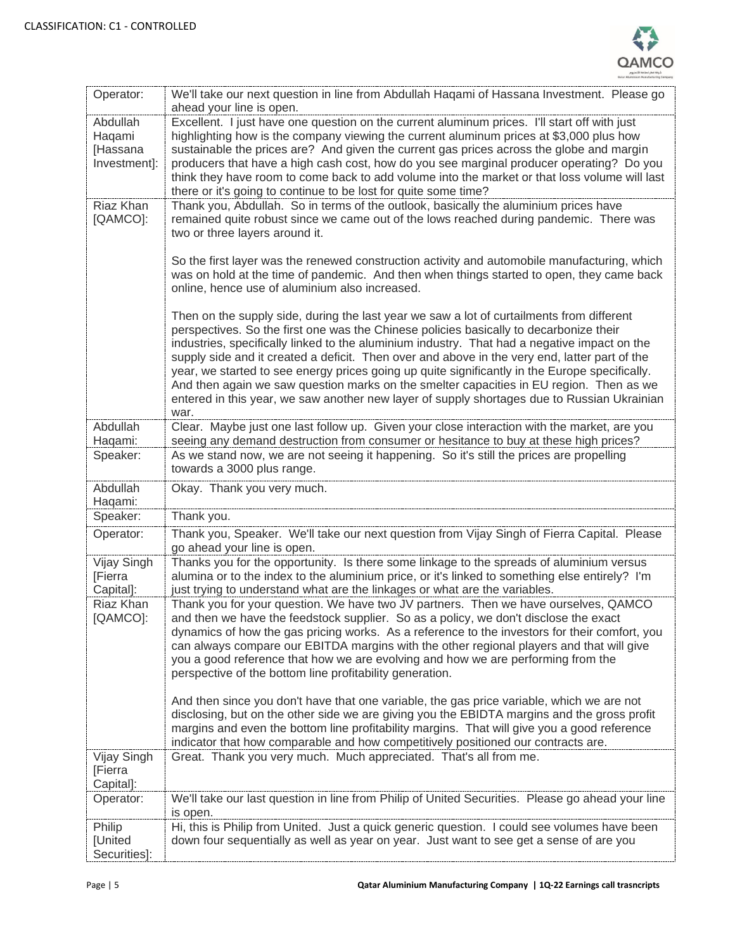

| Operator:                                      | We'll take our next question in line from Abdullah Haqami of Hassana Investment. Please go<br>ahead your line is open.                                                                                                                                                                                                                                                                                                                                                                                                                                                                                                                                                                   |
|------------------------------------------------|------------------------------------------------------------------------------------------------------------------------------------------------------------------------------------------------------------------------------------------------------------------------------------------------------------------------------------------------------------------------------------------------------------------------------------------------------------------------------------------------------------------------------------------------------------------------------------------------------------------------------------------------------------------------------------------|
| Abdullah<br>Haqami<br>[Hassana<br>Investment]: | Excellent. I just have one question on the current aluminum prices. I'll start off with just<br>highlighting how is the company viewing the current aluminum prices at \$3,000 plus how<br>sustainable the prices are? And given the current gas prices across the globe and margin<br>producers that have a high cash cost, how do you see marginal producer operating? Do you<br>think they have room to come back to add volume into the market or that loss volume will last<br>there or it's going to continue to be lost for quite some time?                                                                                                                                      |
| <b>Riaz Khan</b><br>[QAMCO]:                   | Thank you, Abdullah. So in terms of the outlook, basically the aluminium prices have<br>remained quite robust since we came out of the lows reached during pandemic. There was<br>two or three layers around it.                                                                                                                                                                                                                                                                                                                                                                                                                                                                         |
|                                                | So the first layer was the renewed construction activity and automobile manufacturing, which<br>was on hold at the time of pandemic. And then when things started to open, they came back<br>online, hence use of aluminium also increased.                                                                                                                                                                                                                                                                                                                                                                                                                                              |
|                                                | Then on the supply side, during the last year we saw a lot of curtailments from different<br>perspectives. So the first one was the Chinese policies basically to decarbonize their<br>industries, specifically linked to the aluminium industry. That had a negative impact on the<br>supply side and it created a deficit. Then over and above in the very end, latter part of the<br>year, we started to see energy prices going up quite significantly in the Europe specifically.<br>And then again we saw question marks on the smelter capacities in EU region. Then as we<br>entered in this year, we saw another new layer of supply shortages due to Russian Ukrainian<br>war. |
| Abdullah<br>Haqami:                            | Clear. Maybe just one last follow up. Given your close interaction with the market, are you<br>seeing any demand destruction from consumer or hesitance to buy at these high prices?                                                                                                                                                                                                                                                                                                                                                                                                                                                                                                     |
| Speaker:                                       | As we stand now, we are not seeing it happening. So it's still the prices are propelling<br>towards a 3000 plus range.                                                                                                                                                                                                                                                                                                                                                                                                                                                                                                                                                                   |
| Abdullah<br>Haqami:                            | Okay. Thank you very much.                                                                                                                                                                                                                                                                                                                                                                                                                                                                                                                                                                                                                                                               |
| Speaker:                                       | Thank you.                                                                                                                                                                                                                                                                                                                                                                                                                                                                                                                                                                                                                                                                               |
| Operator:                                      | Thank you, Speaker. We'll take our next question from Vijay Singh of Fierra Capital. Please<br>go ahead your line is open.                                                                                                                                                                                                                                                                                                                                                                                                                                                                                                                                                               |
| Vijay Singh<br><b>[Fierra</b><br>Capital]:     | Thanks you for the opportunity. Is there some linkage to the spreads of aluminium versus<br>alumina or to the index to the aluminium price, or it's linked to something else entirely? I'm<br>just trying to understand what are the linkages or what are the variables.                                                                                                                                                                                                                                                                                                                                                                                                                 |
| Riaz Khan<br>[QAMCO]:                          | Thank you for your question. We have two JV partners. Then we have ourselves, QAMCO<br>and then we have the feedstock supplier. So as a policy, we don't disclose the exact<br>dynamics of how the gas pricing works. As a reference to the investors for their comfort, you<br>can always compare our EBITDA margins with the other regional players and that will give<br>you a good reference that how we are evolving and how we are performing from the<br>perspective of the bottom line profitability generation.                                                                                                                                                                 |
|                                                | And then since you don't have that one variable, the gas price variable, which we are not<br>disclosing, but on the other side we are giving you the EBIDTA margins and the gross profit<br>margins and even the bottom line profitability margins. That will give you a good reference<br>indicator that how comparable and how competitively positioned our contracts are.                                                                                                                                                                                                                                                                                                             |
| Vijay Singh<br>[Fierra<br>Capital]:            | Great. Thank you very much. Much appreciated. That's all from me.                                                                                                                                                                                                                                                                                                                                                                                                                                                                                                                                                                                                                        |
| Operator:                                      | We'll take our last question in line from Philip of United Securities. Please go ahead your line<br>is open.                                                                                                                                                                                                                                                                                                                                                                                                                                                                                                                                                                             |
| Philip<br>[United<br>Securities]:              | Hi, this is Philip from United. Just a quick generic question. I could see volumes have been<br>down four sequentially as well as year on year. Just want to see get a sense of are you                                                                                                                                                                                                                                                                                                                                                                                                                                                                                                  |